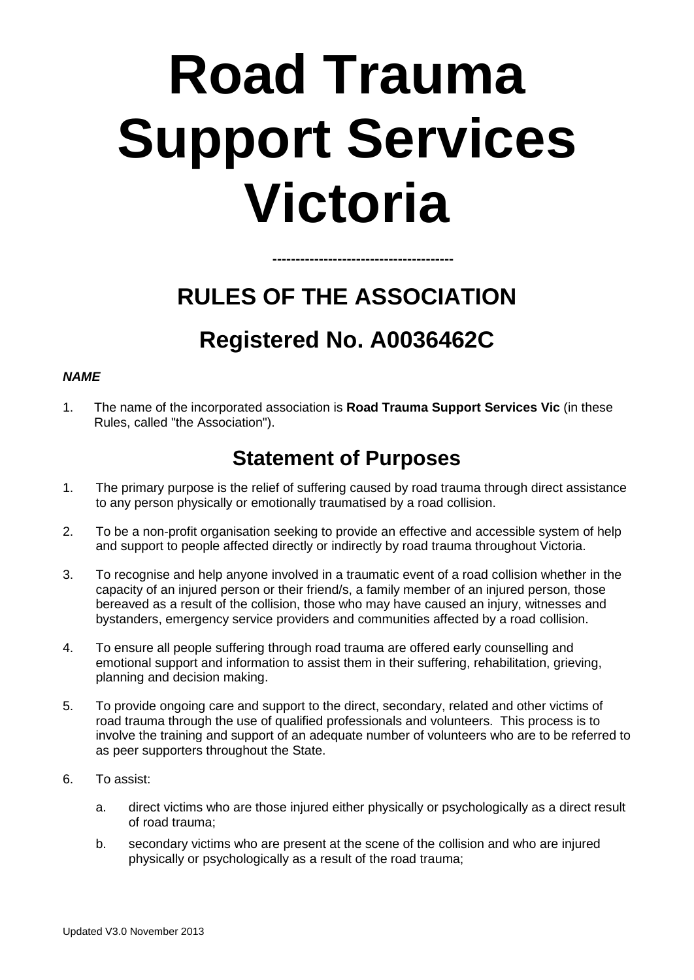# **Road Trauma Support Services Victoria**

## **RULES OF THE ASSOCIATION Registered No. A0036462C**

**---------------------------------------**

#### *NAME*

1. The name of the incorporated association is **Road Trauma Support Services Vic** (in these Rules, called "the Association").

### **Statement of Purposes**

- 1. The primary purpose is the relief of suffering caused by road trauma through direct assistance to any person physically or emotionally traumatised by a road collision.
- 2. To be a non-profit organisation seeking to provide an effective and accessible system of help and support to people affected directly or indirectly by road trauma throughout Victoria.
- 3. To recognise and help anyone involved in a traumatic event of a road collision whether in the capacity of an injured person or their friend/s, a family member of an injured person, those bereaved as a result of the collision, those who may have caused an injury, witnesses and bystanders, emergency service providers and communities affected by a road collision.
- 4. To ensure all people suffering through road trauma are offered early counselling and emotional support and information to assist them in their suffering, rehabilitation, grieving, planning and decision making.
- 5. To provide ongoing care and support to the direct, secondary, related and other victims of road trauma through the use of qualified professionals and volunteers. This process is to involve the training and support of an adequate number of volunteers who are to be referred to as peer supporters throughout the State.
- 6. To assist:
	- a. direct victims who are those injured either physically or psychologically as a direct result of road trauma;
	- b. secondary victims who are present at the scene of the collision and who are injured physically or psychologically as a result of the road trauma;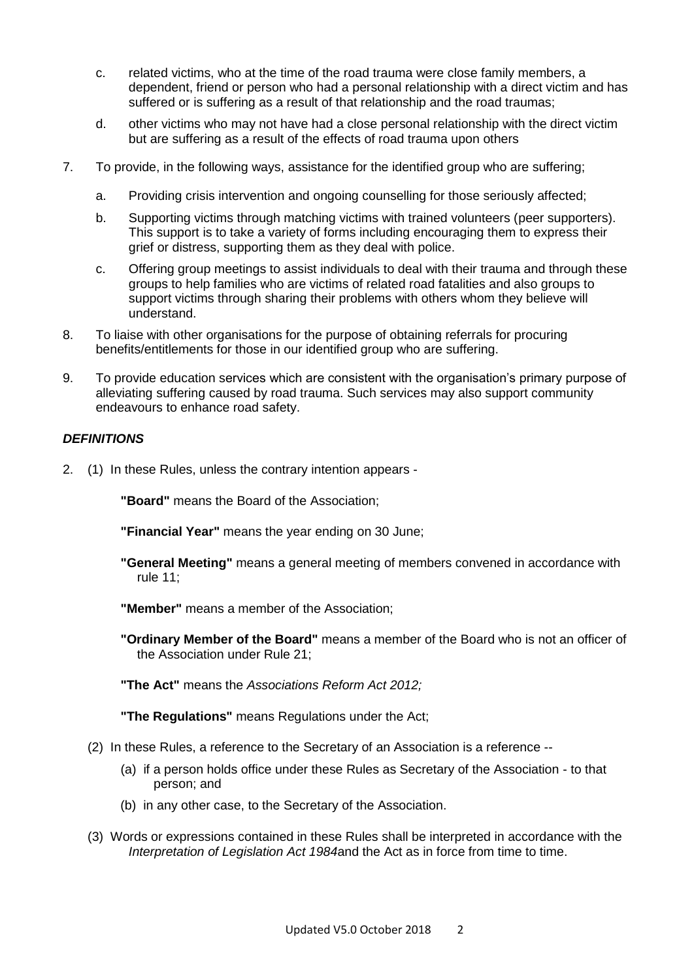- c. related victims, who at the time of the road trauma were close family members, a dependent, friend or person who had a personal relationship with a direct victim and has suffered or is suffering as a result of that relationship and the road traumas;
- d. other victims who may not have had a close personal relationship with the direct victim but are suffering as a result of the effects of road trauma upon others
- 7. To provide, in the following ways, assistance for the identified group who are suffering;
	- a. Providing crisis intervention and ongoing counselling for those seriously affected;
	- b. Supporting victims through matching victims with trained volunteers (peer supporters). This support is to take a variety of forms including encouraging them to express their grief or distress, supporting them as they deal with police.
	- c. Offering group meetings to assist individuals to deal with their trauma and through these groups to help families who are victims of related road fatalities and also groups to support victims through sharing their problems with others whom they believe will understand.
- 8. To liaise with other organisations for the purpose of obtaining referrals for procuring benefits/entitlements for those in our identified group who are suffering.
- 9. To provide education services which are consistent with the organisation's primary purpose of alleviating suffering caused by road trauma. Such services may also support community endeavours to enhance road safety.

#### *DEFINITIONS*

2. (1) In these Rules, unless the contrary intention appears -

**"Board"** means the Board of the Association;

**"Financial Year"** means the year ending on 30 June;

- **"General Meeting"** means a general meeting of members convened in accordance with rule 11;
- **"Member"** means a member of the Association;
- **"Ordinary Member of the Board"** means a member of the Board who is not an officer of the Association under Rule 21;

**"The Act"** means the *Associations Reform Act 2012;*

**"The Regulations"** means Regulations under the Act;

- (2) In these Rules, a reference to the Secretary of an Association is a reference --
	- (a) if a person holds office under these Rules as Secretary of the Association to that person; and
	- (b) in any other case, to the Secretary of the Association.
- (3) Words or expressions contained in these Rules shall be interpreted in accordance with the *Interpretation of Legislation Act 1984*and the Act as in force from time to time.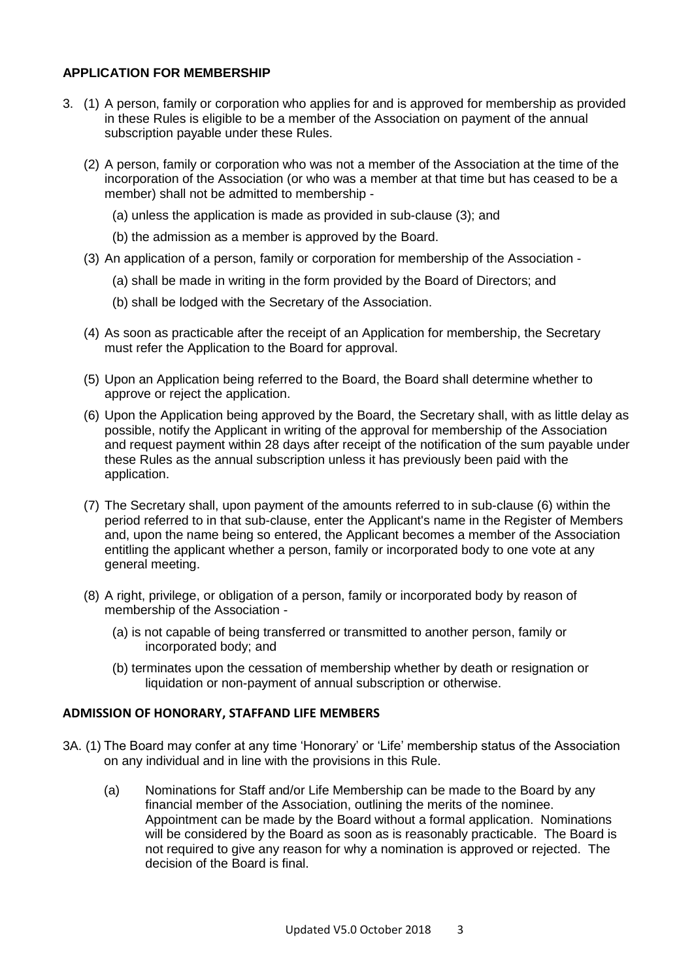#### **APPLICATION FOR MEMBERSHIP**

- 3. (1) A person, family or corporation who applies for and is approved for membership as provided in these Rules is eligible to be a member of the Association on payment of the annual subscription payable under these Rules.
	- (2) A person, family or corporation who was not a member of the Association at the time of the incorporation of the Association (or who was a member at that time but has ceased to be a member) shall not be admitted to membership -
		- (a) unless the application is made as provided in sub-clause (3); and
		- (b) the admission as a member is approved by the Board.
	- (3) An application of a person, family or corporation for membership of the Association
		- (a) shall be made in writing in the form provided by the Board of Directors; and
		- (b) shall be lodged with the Secretary of the Association.
	- (4) As soon as practicable after the receipt of an Application for membership, the Secretary must refer the Application to the Board for approval.
	- (5) Upon an Application being referred to the Board, the Board shall determine whether to approve or reject the application.
	- (6) Upon the Application being approved by the Board, the Secretary shall, with as little delay as possible, notify the Applicant in writing of the approval for membership of the Association and request payment within 28 days after receipt of the notification of the sum payable under these Rules as the annual subscription unless it has previously been paid with the application.
	- (7) The Secretary shall, upon payment of the amounts referred to in sub-clause (6) within the period referred to in that sub-clause, enter the Applicant's name in the Register of Members and, upon the name being so entered, the Applicant becomes a member of the Association entitling the applicant whether a person, family or incorporated body to one vote at any general meeting.
	- (8) A right, privilege, or obligation of a person, family or incorporated body by reason of membership of the Association -
		- (a) is not capable of being transferred or transmitted to another person, family or incorporated body; and
		- (b) terminates upon the cessation of membership whether by death or resignation or liquidation or non-payment of annual subscription or otherwise.

#### **ADMISSION OF HONORARY, STAFFAND LIFE MEMBERS**

- 3A. (1) The Board may confer at any time 'Honorary' or 'Life' membership status of the Association on any individual and in line with the provisions in this Rule.
	- (a) Nominations for Staff and/or Life Membership can be made to the Board by any financial member of the Association, outlining the merits of the nominee. Appointment can be made by the Board without a formal application. Nominations will be considered by the Board as soon as is reasonably practicable. The Board is not required to give any reason for why a nomination is approved or rejected. The decision of the Board is final.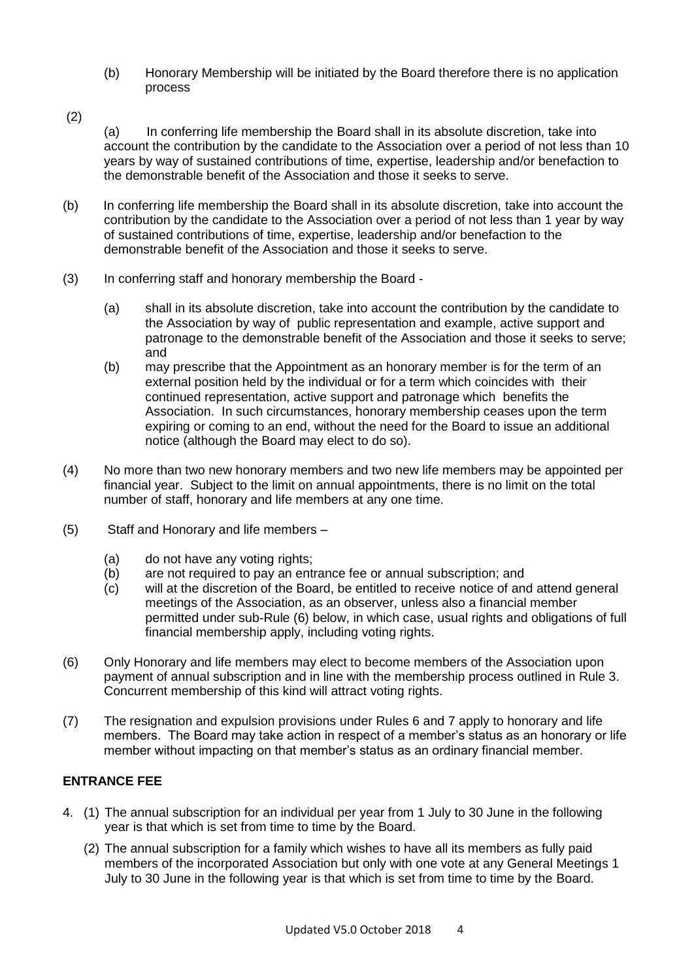- (b) Honorary Membership will be initiated by the Board therefore there is no application process
- (2)

(a) In conferring life membership the Board shall in its absolute discretion, take into account the contribution by the candidate to the Association over a period of not less than 10 years by way of sustained contributions of time, expertise, leadership and/or benefaction to the demonstrable benefit of the Association and those it seeks to serve.

- (b) In conferring life membership the Board shall in its absolute discretion, take into account the contribution by the candidate to the Association over a period of not less than 1 year by way of sustained contributions of time, expertise, leadership and/or benefaction to the demonstrable benefit of the Association and those it seeks to serve.
- (3) In conferring staff and honorary membership the Board
	- (a) shall in its absolute discretion, take into account the contribution by the candidate to the Association by way of public representation and example, active support and patronage to the demonstrable benefit of the Association and those it seeks to serve; and
	- (b) may prescribe that the Appointment as an honorary member is for the term of an external position held by the individual or for a term which coincides with their continued representation, active support and patronage which benefits the Association. In such circumstances, honorary membership ceases upon the term expiring or coming to an end, without the need for the Board to issue an additional notice (although the Board may elect to do so).
- (4) No more than two new honorary members and two new life members may be appointed per financial year. Subject to the limit on annual appointments, there is no limit on the total number of staff, honorary and life members at any one time.
- (5) Staff and Honorary and life members
	- (a) do not have any voting rights;
	- (b) are not required to pay an entrance fee or annual subscription; and
	- (c) will at the discretion of the Board, be entitled to receive notice of and attend general meetings of the Association, as an observer, unless also a financial member permitted under sub-Rule (6) below, in which case, usual rights and obligations of full financial membership apply, including voting rights.
- (6) Only Honorary and life members may elect to become members of the Association upon payment of annual subscription and in line with the membership process outlined in Rule 3. Concurrent membership of this kind will attract voting rights.
- (7) The resignation and expulsion provisions under Rules 6 and 7 apply to honorary and life members. The Board may take action in respect of a member's status as an honorary or life member without impacting on that member's status as an ordinary financial member.

#### **ENTRANCE FEE**

- 4. (1) The annual subscription for an individual per year from 1 July to 30 June in the following year is that which is set from time to time by the Board.
	- (2) The annual subscription for a family which wishes to have all its members as fully paid members of the incorporated Association but only with one vote at any General Meetings 1 July to 30 June in the following year is that which is set from time to time by the Board.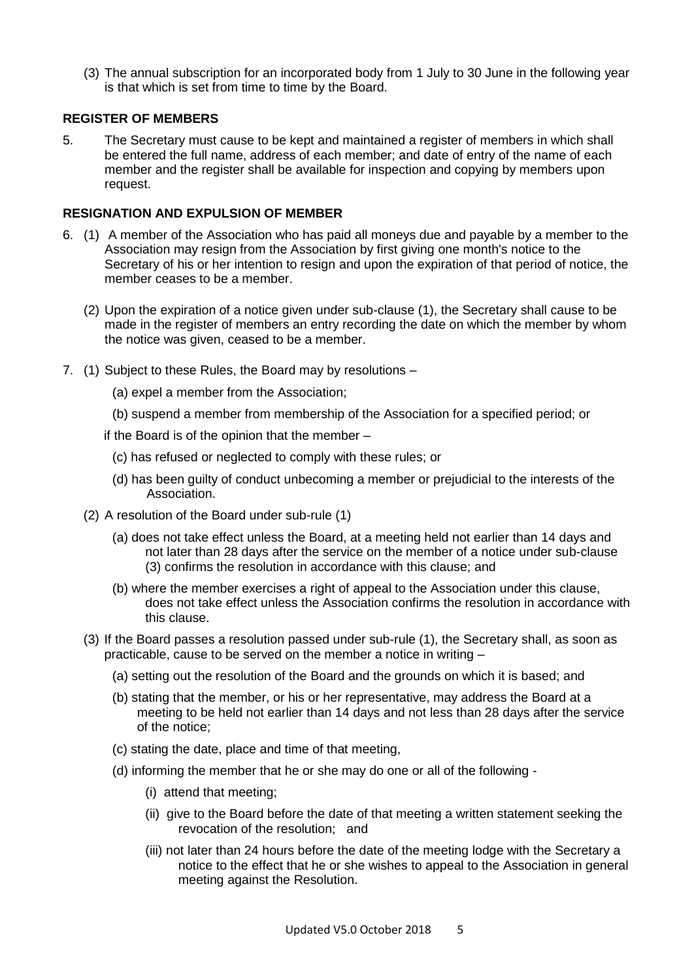(3) The annual subscription for an incorporated body from 1 July to 30 June in the following year is that which is set from time to time by the Board.

#### **REGISTER OF MEMBERS**

5. The Secretary must cause to be kept and maintained a register of members in which shall be entered the full name, address of each member; and date of entry of the name of each member and the register shall be available for inspection and copying by members upon request.

#### **RESIGNATION AND EXPULSION OF MEMBER**

- 6. (1) A member of the Association who has paid all moneys due and payable by a member to the Association may resign from the Association by first giving one month's notice to the Secretary of his or her intention to resign and upon the expiration of that period of notice, the member ceases to be a member.
	- (2) Upon the expiration of a notice given under sub-clause (1), the Secretary shall cause to be made in the register of members an entry recording the date on which the member by whom the notice was given, ceased to be a member.
- 7. (1) Subject to these Rules, the Board may by resolutions
	- (a) expel a member from the Association;
	- (b) suspend a member from membership of the Association for a specified period; or
	- if the Board is of the opinion that the member
		- (c) has refused or neglected to comply with these rules; or
		- (d) has been guilty of conduct unbecoming a member or prejudicial to the interests of the Association.
	- (2) A resolution of the Board under sub-rule (1)
		- (a) does not take effect unless the Board, at a meeting held not earlier than 14 days and not later than 28 days after the service on the member of a notice under sub-clause (3) confirms the resolution in accordance with this clause; and
		- (b) where the member exercises a right of appeal to the Association under this clause, does not take effect unless the Association confirms the resolution in accordance with this clause.
	- (3) If the Board passes a resolution passed under sub-rule (1), the Secretary shall, as soon as practicable, cause to be served on the member a notice in writing –
		- (a) setting out the resolution of the Board and the grounds on which it is based; and
		- (b) stating that the member, or his or her representative, may address the Board at a meeting to be held not earlier than 14 days and not less than 28 days after the service of the notice;
		- (c) stating the date, place and time of that meeting,
		- (d) informing the member that he or she may do one or all of the following
			- (i) attend that meeting;
			- (ii) give to the Board before the date of that meeting a written statement seeking the revocation of the resolution; and
			- (iii) not later than 24 hours before the date of the meeting lodge with the Secretary a notice to the effect that he or she wishes to appeal to the Association in general meeting against the Resolution.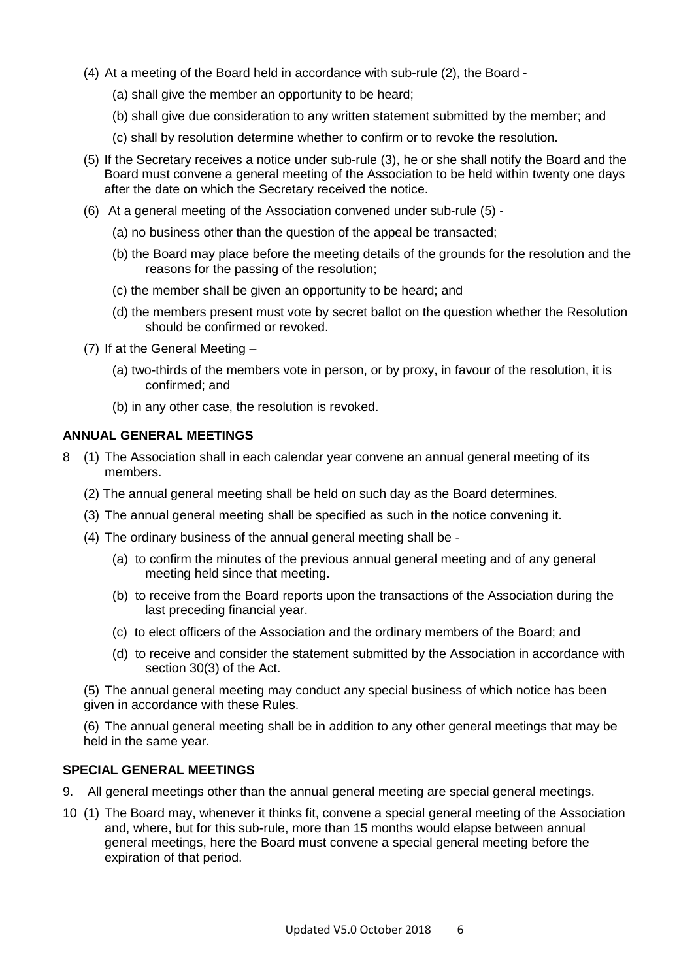- (4) At a meeting of the Board held in accordance with sub-rule (2), the Board
	- (a) shall give the member an opportunity to be heard;
	- (b) shall give due consideration to any written statement submitted by the member; and
	- (c) shall by resolution determine whether to confirm or to revoke the resolution.
- (5) If the Secretary receives a notice under sub-rule (3), he or she shall notify the Board and the Board must convene a general meeting of the Association to be held within twenty one days after the date on which the Secretary received the notice.
- (6) At a general meeting of the Association convened under sub-rule (5)
	- (a) no business other than the question of the appeal be transacted;
	- (b) the Board may place before the meeting details of the grounds for the resolution and the reasons for the passing of the resolution;
	- (c) the member shall be given an opportunity to be heard; and
	- (d) the members present must vote by secret ballot on the question whether the Resolution should be confirmed or revoked.
- (7) If at the General Meeting
	- (a) two-thirds of the members vote in person, or by proxy, in favour of the resolution, it is confirmed; and
	- (b) in any other case, the resolution is revoked.

#### **ANNUAL GENERAL MEETINGS**

- 8 (1) The Association shall in each calendar year convene an annual general meeting of its members.
	- (2) The annual general meeting shall be held on such day as the Board determines.
	- (3) The annual general meeting shall be specified as such in the notice convening it.
	- (4) The ordinary business of the annual general meeting shall be
		- (a) to confirm the minutes of the previous annual general meeting and of any general meeting held since that meeting.
		- (b) to receive from the Board reports upon the transactions of the Association during the last preceding financial year.
		- (c) to elect officers of the Association and the ordinary members of the Board; and
		- (d) to receive and consider the statement submitted by the Association in accordance with section 30(3) of the Act.

(5) The annual general meeting may conduct any special business of which notice has been given in accordance with these Rules.

(6) The annual general meeting shall be in addition to any other general meetings that may be held in the same year.

#### **SPECIAL GENERAL MEETINGS**

- 9. All general meetings other than the annual general meeting are special general meetings.
- 10 (1) The Board may, whenever it thinks fit, convene a special general meeting of the Association and, where, but for this sub-rule, more than 15 months would elapse between annual general meetings, here the Board must convene a special general meeting before the expiration of that period.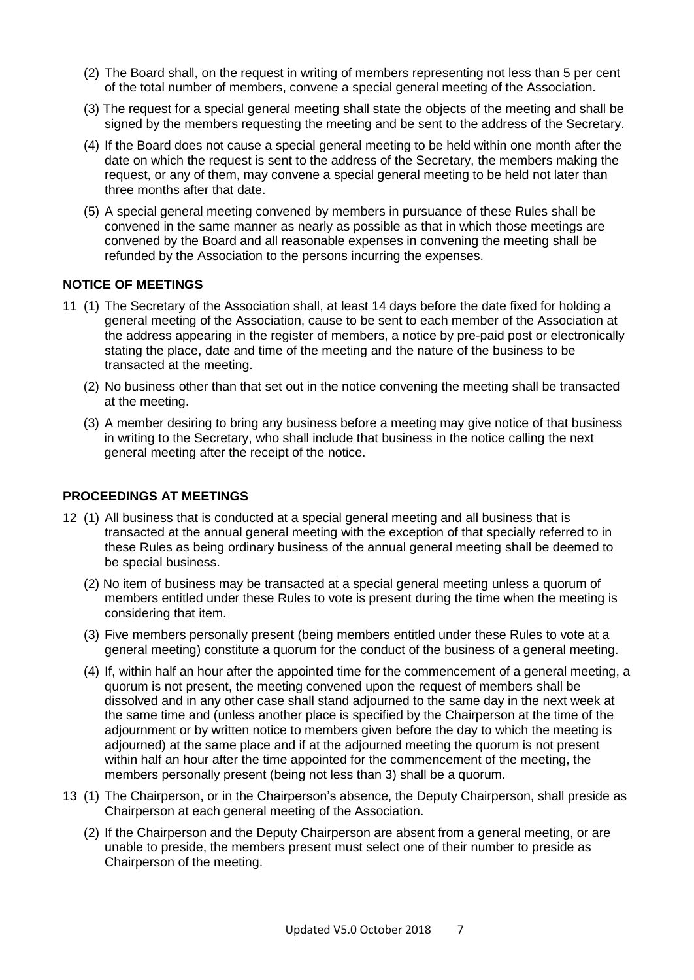- (2) The Board shall, on the request in writing of members representing not less than 5 per cent of the total number of members, convene a special general meeting of the Association.
- (3) The request for a special general meeting shall state the objects of the meeting and shall be signed by the members requesting the meeting and be sent to the address of the Secretary.
- (4) If the Board does not cause a special general meeting to be held within one month after the date on which the request is sent to the address of the Secretary, the members making the request, or any of them, may convene a special general meeting to be held not later than three months after that date.
- (5) A special general meeting convened by members in pursuance of these Rules shall be convened in the same manner as nearly as possible as that in which those meetings are convened by the Board and all reasonable expenses in convening the meeting shall be refunded by the Association to the persons incurring the expenses.

#### **NOTICE OF MEETINGS**

- 11 (1) The Secretary of the Association shall, at least 14 days before the date fixed for holding a general meeting of the Association, cause to be sent to each member of the Association at the address appearing in the register of members, a notice by pre-paid post or electronically stating the place, date and time of the meeting and the nature of the business to be transacted at the meeting.
	- (2) No business other than that set out in the notice convening the meeting shall be transacted at the meeting.
	- (3) A member desiring to bring any business before a meeting may give notice of that business in writing to the Secretary, who shall include that business in the notice calling the next general meeting after the receipt of the notice.

#### **PROCEEDINGS AT MEETINGS**

- 12 (1) All business that is conducted at a special general meeting and all business that is transacted at the annual general meeting with the exception of that specially referred to in these Rules as being ordinary business of the annual general meeting shall be deemed to be special business.
	- (2) No item of business may be transacted at a special general meeting unless a quorum of members entitled under these Rules to vote is present during the time when the meeting is considering that item.
	- (3) Five members personally present (being members entitled under these Rules to vote at a general meeting) constitute a quorum for the conduct of the business of a general meeting.
	- (4) If, within half an hour after the appointed time for the commencement of a general meeting, a quorum is not present, the meeting convened upon the request of members shall be dissolved and in any other case shall stand adjourned to the same day in the next week at the same time and (unless another place is specified by the Chairperson at the time of the adjournment or by written notice to members given before the day to which the meeting is adjourned) at the same place and if at the adjourned meeting the quorum is not present within half an hour after the time appointed for the commencement of the meeting, the members personally present (being not less than 3) shall be a quorum.
- 13 (1) The Chairperson, or in the Chairperson's absence, the Deputy Chairperson, shall preside as Chairperson at each general meeting of the Association.
	- (2) If the Chairperson and the Deputy Chairperson are absent from a general meeting, or are unable to preside, the members present must select one of their number to preside as Chairperson of the meeting.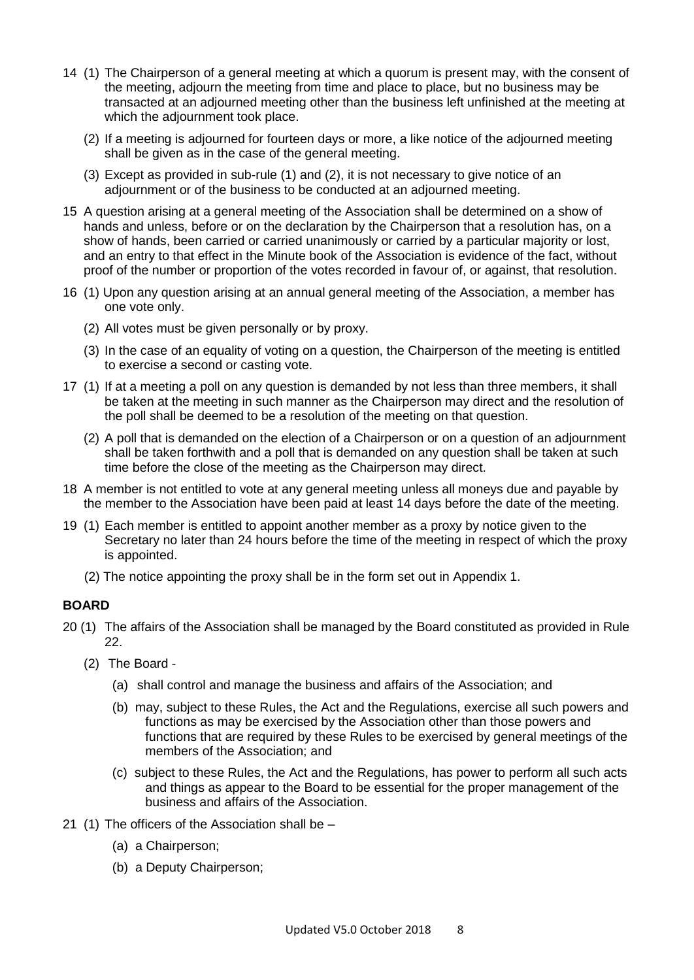- 14 (1) The Chairperson of a general meeting at which a quorum is present may, with the consent of the meeting, adjourn the meeting from time and place to place, but no business may be transacted at an adjourned meeting other than the business left unfinished at the meeting at which the adjournment took place.
	- (2) If a meeting is adjourned for fourteen days or more, a like notice of the adjourned meeting shall be given as in the case of the general meeting.
	- (3) Except as provided in sub-rule (1) and (2), it is not necessary to give notice of an adjournment or of the business to be conducted at an adjourned meeting.
- 15 A question arising at a general meeting of the Association shall be determined on a show of hands and unless, before or on the declaration by the Chairperson that a resolution has, on a show of hands, been carried or carried unanimously or carried by a particular majority or lost, and an entry to that effect in the Minute book of the Association is evidence of the fact, without proof of the number or proportion of the votes recorded in favour of, or against, that resolution.
- 16 (1) Upon any question arising at an annual general meeting of the Association, a member has one vote only.
	- (2) All votes must be given personally or by proxy.
	- (3) In the case of an equality of voting on a question, the Chairperson of the meeting is entitled to exercise a second or casting vote.
- 17 (1) If at a meeting a poll on any question is demanded by not less than three members, it shall be taken at the meeting in such manner as the Chairperson may direct and the resolution of the poll shall be deemed to be a resolution of the meeting on that question.
	- (2) A poll that is demanded on the election of a Chairperson or on a question of an adjournment shall be taken forthwith and a poll that is demanded on any question shall be taken at such time before the close of the meeting as the Chairperson may direct.
- 18 A member is not entitled to vote at any general meeting unless all moneys due and payable by the member to the Association have been paid at least 14 days before the date of the meeting.
- 19 (1) Each member is entitled to appoint another member as a proxy by notice given to the Secretary no later than 24 hours before the time of the meeting in respect of which the proxy is appointed.
	- (2) The notice appointing the proxy shall be in the form set out in Appendix 1.

#### **BOARD**

- 20 (1) The affairs of the Association shall be managed by the Board constituted as provided in Rule 22.
	- (2) The Board
		- (a) shall control and manage the business and affairs of the Association; and
		- (b) may, subject to these Rules, the Act and the Regulations, exercise all such powers and functions as may be exercised by the Association other than those powers and functions that are required by these Rules to be exercised by general meetings of the members of the Association; and
		- (c) subject to these Rules, the Act and the Regulations, has power to perform all such acts and things as appear to the Board to be essential for the proper management of the business and affairs of the Association.
- 21 (1) The officers of the Association shall be
	- (a) a Chairperson;
	- (b) a Deputy Chairperson;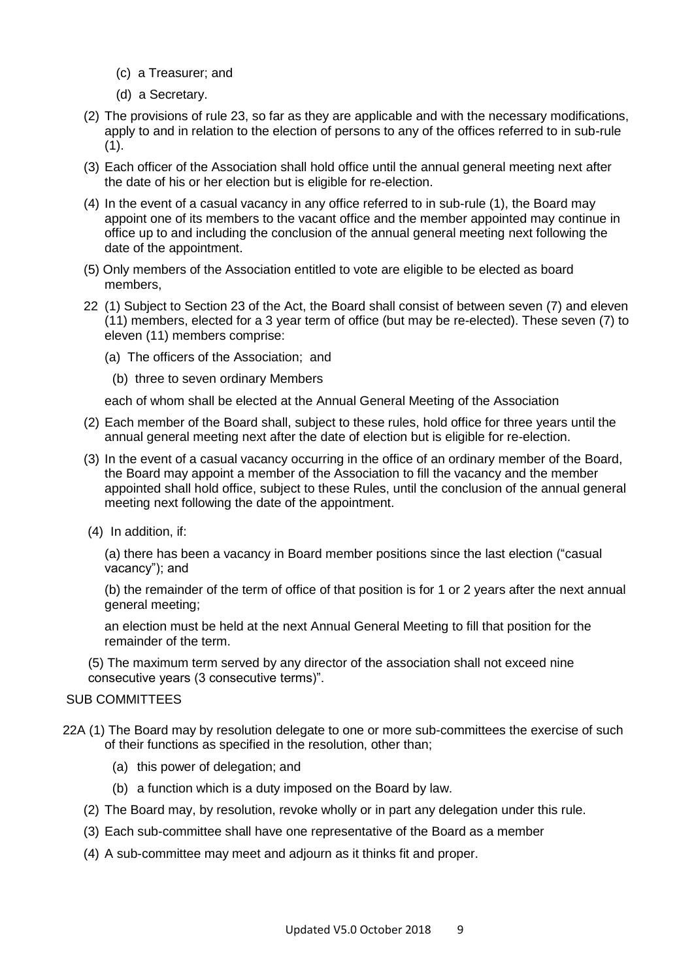- (c) a Treasurer; and
- (d) a Secretary.
- (2) The provisions of rule 23, so far as they are applicable and with the necessary modifications, apply to and in relation to the election of persons to any of the offices referred to in sub-rule (1).
- (3) Each officer of the Association shall hold office until the annual general meeting next after the date of his or her election but is eligible for re-election.
- (4) In the event of a casual vacancy in any office referred to in sub-rule (1), the Board may appoint one of its members to the vacant office and the member appointed may continue in office up to and including the conclusion of the annual general meeting next following the date of the appointment.
- (5) Only members of the Association entitled to vote are eligible to be elected as board members,
- 22 (1) Subject to Section 23 of the Act, the Board shall consist of between seven (7) and eleven (11) members, elected for a 3 year term of office (but may be re-elected). These seven (7) to eleven (11) members comprise:
	- (a) The officers of the Association; and
		- (b) three to seven ordinary Members

each of whom shall be elected at the Annual General Meeting of the Association

- (2) Each member of the Board shall, subject to these rules, hold office for three years until the annual general meeting next after the date of election but is eligible for re-election.
- (3) In the event of a casual vacancy occurring in the office of an ordinary member of the Board, the Board may appoint a member of the Association to fill the vacancy and the member appointed shall hold office, subject to these Rules, until the conclusion of the annual general meeting next following the date of the appointment.
- (4) In addition, if:

(a) there has been a vacancy in Board member positions since the last election ("casual vacancy"); and

(b) the remainder of the term of office of that position is for 1 or 2 years after the next annual general meeting;

an election must be held at the next Annual General Meeting to fill that position for the remainder of the term.

(5) The maximum term served by any director of the association shall not exceed nine consecutive years (3 consecutive terms)".

#### SUB COMMITTEES

- 22A (1) The Board may by resolution delegate to one or more sub-committees the exercise of such of their functions as specified in the resolution, other than;
	- (a) this power of delegation; and
	- (b) a function which is a duty imposed on the Board by law.
	- (2) The Board may, by resolution, revoke wholly or in part any delegation under this rule.
	- (3) Each sub-committee shall have one representative of the Board as a member
	- (4) A sub-committee may meet and adjourn as it thinks fit and proper.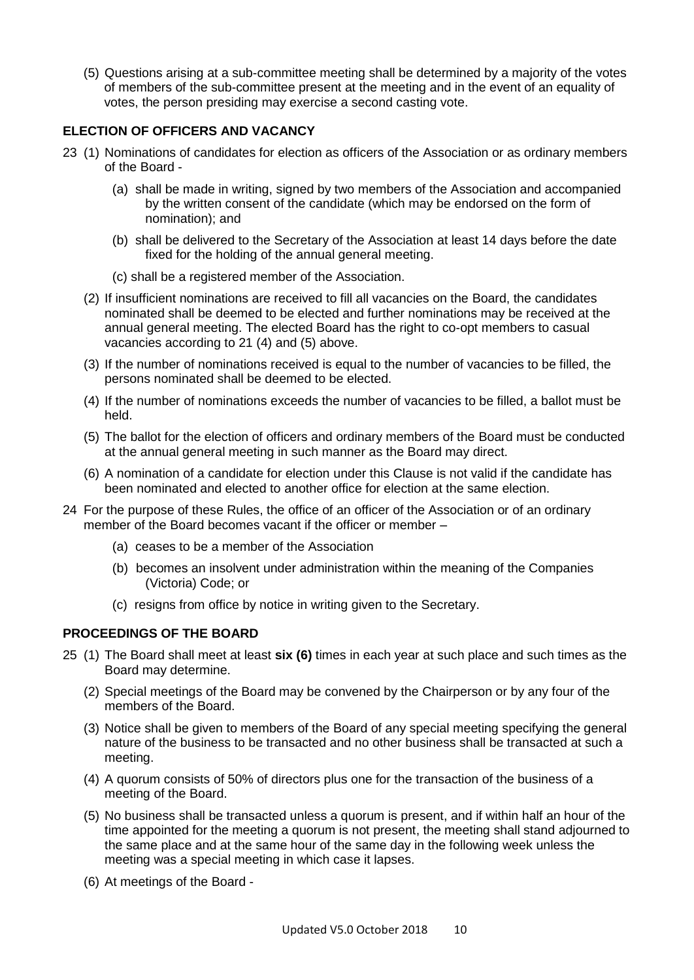(5) Questions arising at a sub-committee meeting shall be determined by a majority of the votes of members of the sub-committee present at the meeting and in the event of an equality of votes, the person presiding may exercise a second casting vote.

#### **ELECTION OF OFFICERS AND VACANCY**

- 23 (1) Nominations of candidates for election as officers of the Association or as ordinary members of the Board -
	- (a) shall be made in writing, signed by two members of the Association and accompanied by the written consent of the candidate (which may be endorsed on the form of nomination); and
	- (b) shall be delivered to the Secretary of the Association at least 14 days before the date fixed for the holding of the annual general meeting.
	- (c) shall be a registered member of the Association.
	- (2) If insufficient nominations are received to fill all vacancies on the Board, the candidates nominated shall be deemed to be elected and further nominations may be received at the annual general meeting. The elected Board has the right to co-opt members to casual vacancies according to 21 (4) and (5) above.
	- (3) If the number of nominations received is equal to the number of vacancies to be filled, the persons nominated shall be deemed to be elected.
	- (4) If the number of nominations exceeds the number of vacancies to be filled, a ballot must be held.
	- (5) The ballot for the election of officers and ordinary members of the Board must be conducted at the annual general meeting in such manner as the Board may direct.
	- (6) A nomination of a candidate for election under this Clause is not valid if the candidate has been nominated and elected to another office for election at the same election.
- 24 For the purpose of these Rules, the office of an officer of the Association or of an ordinary member of the Board becomes vacant if the officer or member –
	- (a) ceases to be a member of the Association
	- (b) becomes an insolvent under administration within the meaning of the Companies (Victoria) Code; or
	- (c) resigns from office by notice in writing given to the Secretary.

#### **PROCEEDINGS OF THE BOARD**

- 25 (1) The Board shall meet at least **six (6)** times in each year at such place and such times as the Board may determine.
	- (2) Special meetings of the Board may be convened by the Chairperson or by any four of the members of the Board.
	- (3) Notice shall be given to members of the Board of any special meeting specifying the general nature of the business to be transacted and no other business shall be transacted at such a meeting.
	- (4) A quorum consists of 50% of directors plus one for the transaction of the business of a meeting of the Board.
	- (5) No business shall be transacted unless a quorum is present, and if within half an hour of the time appointed for the meeting a quorum is not present, the meeting shall stand adjourned to the same place and at the same hour of the same day in the following week unless the meeting was a special meeting in which case it lapses.
	- (6) At meetings of the Board -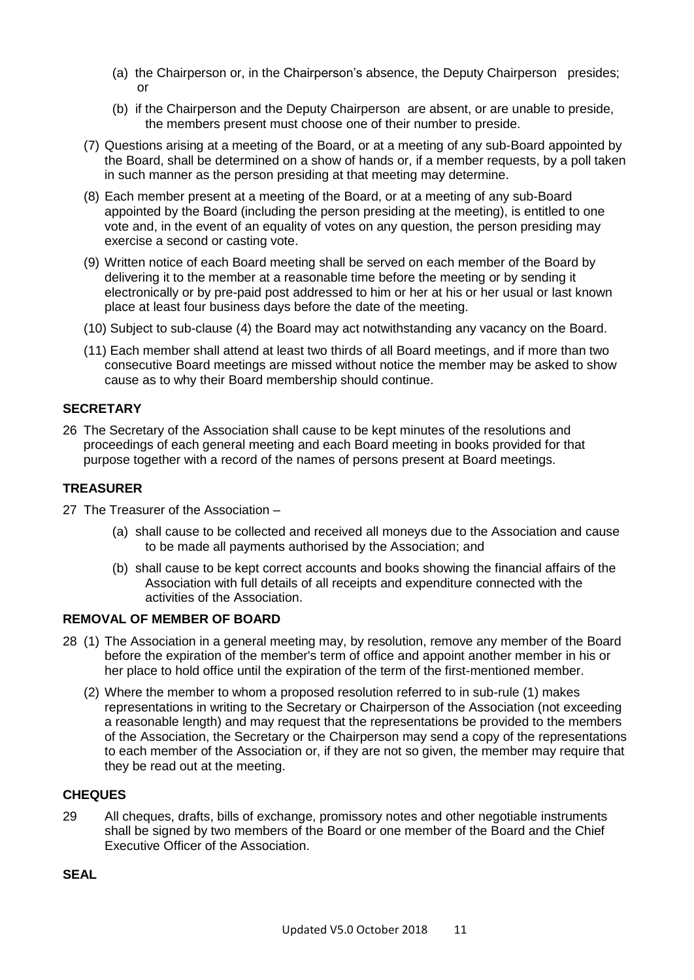- (a) the Chairperson or, in the Chairperson's absence, the Deputy Chairperson presides; or
- (b) if the Chairperson and the Deputy Chairperson are absent, or are unable to preside, the members present must choose one of their number to preside.
- (7) Questions arising at a meeting of the Board, or at a meeting of any sub-Board appointed by the Board, shall be determined on a show of hands or, if a member requests, by a poll taken in such manner as the person presiding at that meeting may determine.
- (8) Each member present at a meeting of the Board, or at a meeting of any sub-Board appointed by the Board (including the person presiding at the meeting), is entitled to one vote and, in the event of an equality of votes on any question, the person presiding may exercise a second or casting vote.
- (9) Written notice of each Board meeting shall be served on each member of the Board by delivering it to the member at a reasonable time before the meeting or by sending it electronically or by pre-paid post addressed to him or her at his or her usual or last known place at least four business days before the date of the meeting.
- (10) Subject to sub-clause (4) the Board may act notwithstanding any vacancy on the Board.
- (11) Each member shall attend at least two thirds of all Board meetings, and if more than two consecutive Board meetings are missed without notice the member may be asked to show cause as to why their Board membership should continue.

#### **SECRETARY**

26 The Secretary of the Association shall cause to be kept minutes of the resolutions and proceedings of each general meeting and each Board meeting in books provided for that purpose together with a record of the names of persons present at Board meetings.

#### **TREASURER**

- 27 The Treasurer of the Association
	- (a) shall cause to be collected and received all moneys due to the Association and cause to be made all payments authorised by the Association; and
	- (b) shall cause to be kept correct accounts and books showing the financial affairs of the Association with full details of all receipts and expenditure connected with the activities of the Association.

#### **REMOVAL OF MEMBER OF BOARD**

- 28 (1) The Association in a general meeting may, by resolution, remove any member of the Board before the expiration of the member's term of office and appoint another member in his or her place to hold office until the expiration of the term of the first-mentioned member.
	- (2) Where the member to whom a proposed resolution referred to in sub-rule (1) makes representations in writing to the Secretary or Chairperson of the Association (not exceeding a reasonable length) and may request that the representations be provided to the members of the Association, the Secretary or the Chairperson may send a copy of the representations to each member of the Association or, if they are not so given, the member may require that they be read out at the meeting.

#### **CHEQUES**

29 All cheques, drafts, bills of exchange, promissory notes and other negotiable instruments shall be signed by two members of the Board or one member of the Board and the Chief Executive Officer of the Association.

#### **SEAL**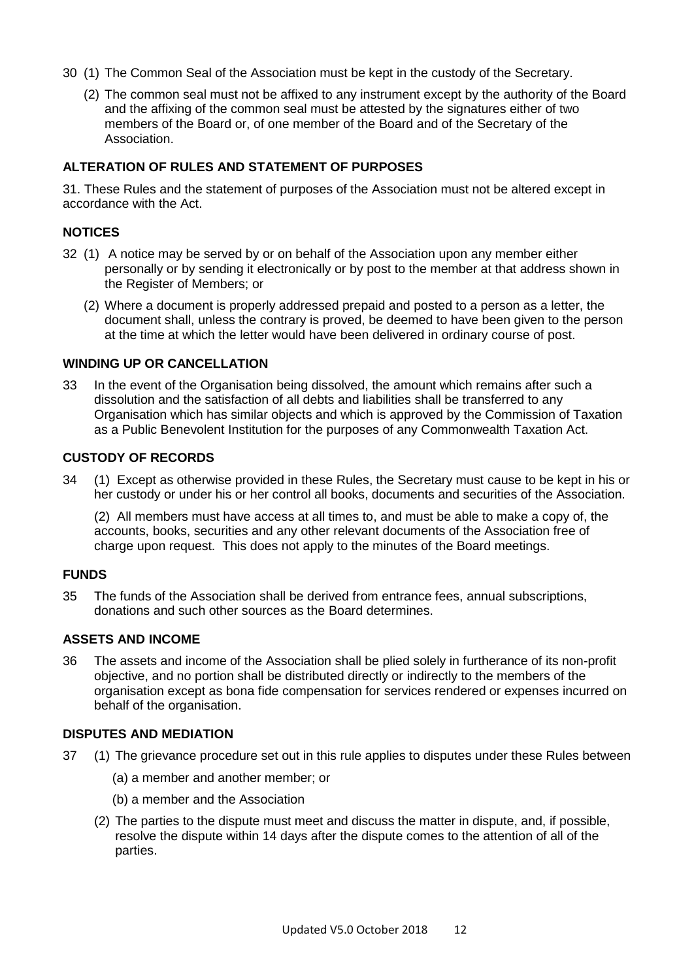- 30 (1) The Common Seal of the Association must be kept in the custody of the Secretary.
	- (2) The common seal must not be affixed to any instrument except by the authority of the Board and the affixing of the common seal must be attested by the signatures either of two members of the Board or, of one member of the Board and of the Secretary of the Association.

#### **ALTERATION OF RULES AND STATEMENT OF PURPOSES**

31. These Rules and the statement of purposes of the Association must not be altered except in accordance with the Act.

#### **NOTICES**

- 32 (1) A notice may be served by or on behalf of the Association upon any member either personally or by sending it electronically or by post to the member at that address shown in the Register of Members; or
	- (2) Where a document is properly addressed prepaid and posted to a person as a letter, the document shall, unless the contrary is proved, be deemed to have been given to the person at the time at which the letter would have been delivered in ordinary course of post.

#### **WINDING UP OR CANCELLATION**

33 In the event of the Organisation being dissolved, the amount which remains after such a dissolution and the satisfaction of all debts and liabilities shall be transferred to any Organisation which has similar objects and which is approved by the Commission of Taxation as a Public Benevolent Institution for the purposes of any Commonwealth Taxation Act.

#### **CUSTODY OF RECORDS**

34 (1) Except as otherwise provided in these Rules, the Secretary must cause to be kept in his or her custody or under his or her control all books, documents and securities of the Association.

(2) All members must have access at all times to, and must be able to make a copy of, the accounts, books, securities and any other relevant documents of the Association free of charge upon request. This does not apply to the minutes of the Board meetings.

#### **FUNDS**

35 The funds of the Association shall be derived from entrance fees, annual subscriptions, donations and such other sources as the Board determines.

#### **ASSETS AND INCOME**

36 The assets and income of the Association shall be plied solely in furtherance of its non-profit objective, and no portion shall be distributed directly or indirectly to the members of the organisation except as bona fide compensation for services rendered or expenses incurred on behalf of the organisation.

#### **DISPUTES AND MEDIATION**

- 37 (1) The grievance procedure set out in this rule applies to disputes under these Rules between
	- (a) a member and another member; or
	- (b) a member and the Association
	- (2) The parties to the dispute must meet and discuss the matter in dispute, and, if possible, resolve the dispute within 14 days after the dispute comes to the attention of all of the parties.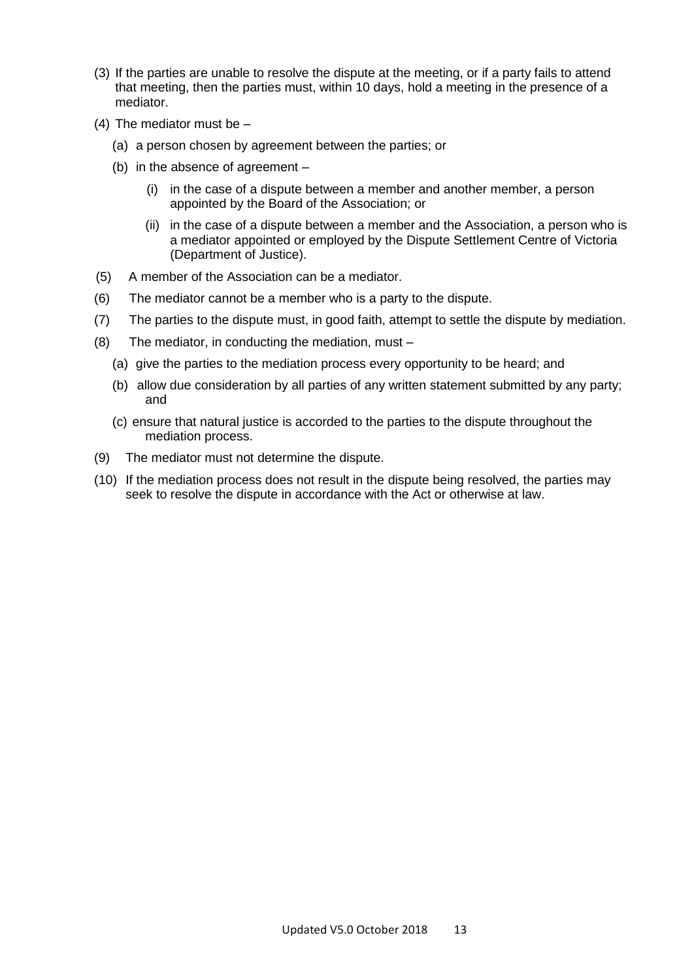- (3) If the parties are unable to resolve the dispute at the meeting, or if a party fails to attend that meeting, then the parties must, within 10 days, hold a meeting in the presence of a mediator.
- (4) The mediator must be
	- (a) a person chosen by agreement between the parties; or
	- (b) in the absence of agreement
		- (i) in the case of a dispute between a member and another member, a person appointed by the Board of the Association; or
		- (ii) in the case of a dispute between a member and the Association, a person who is a mediator appointed or employed by the Dispute Settlement Centre of Victoria (Department of Justice).
- (5) A member of the Association can be a mediator.
- (6) The mediator cannot be a member who is a party to the dispute.
- (7) The parties to the dispute must, in good faith, attempt to settle the dispute by mediation.
- (8) The mediator, in conducting the mediation, must
	- (a) give the parties to the mediation process every opportunity to be heard; and
	- (b) allow due consideration by all parties of any written statement submitted by any party; and
	- (c) ensure that natural justice is accorded to the parties to the dispute throughout the mediation process.
- (9) The mediator must not determine the dispute.
- (10) If the mediation process does not result in the dispute being resolved, the parties may seek to resolve the dispute in accordance with the Act or otherwise at law.